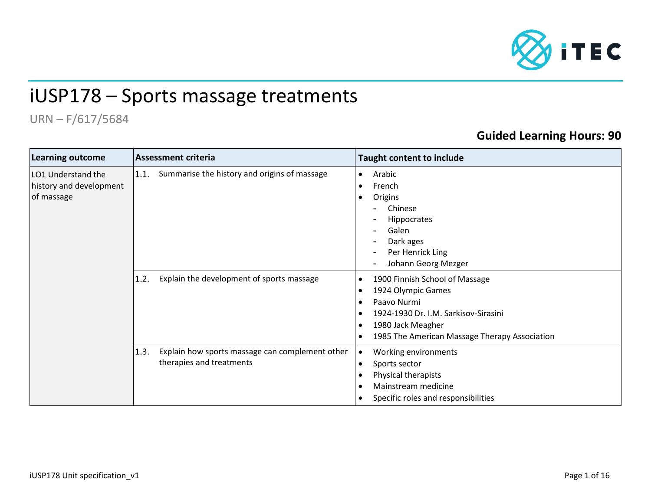

## iUSP178 – Sports massage treatments

## URN – F/617/5684

## **Guided Learning Hours: 90**

| <b>Learning outcome</b>                                     | <b>Assessment criteria</b>                                                          | <b>Taught content to include</b>                                                                                                                                                                                                                                |  |  |
|-------------------------------------------------------------|-------------------------------------------------------------------------------------|-----------------------------------------------------------------------------------------------------------------------------------------------------------------------------------------------------------------------------------------------------------------|--|--|
| LO1 Understand the<br>history and development<br>of massage | Summarise the history and origins of massage<br>1.1.                                | Arabic<br>$\bullet$<br>French<br>$\bullet$<br>Origins<br>$\bullet$<br>Chinese<br>Hippocrates<br>Galen<br>Dark ages<br>Per Henrick Ling<br>$\overline{\phantom{a}}$<br>Johann Georg Mezger                                                                       |  |  |
|                                                             | Explain the development of sports massage<br>1.2.                                   | 1900 Finnish School of Massage<br>$\bullet$<br>1924 Olympic Games<br>$\bullet$<br>Paavo Nurmi<br>$\bullet$<br>1924-1930 Dr. I.M. Sarkisov-Sirasini<br>$\bullet$<br>1980 Jack Meagher<br>$\bullet$<br>1985 The American Massage Therapy Association<br>$\bullet$ |  |  |
|                                                             | 1.3.<br>Explain how sports massage can complement other<br>therapies and treatments | Working environments<br>Sports sector<br>$\bullet$<br>Physical therapists<br>$\bullet$<br>Mainstream medicine<br>Specific roles and responsibilities                                                                                                            |  |  |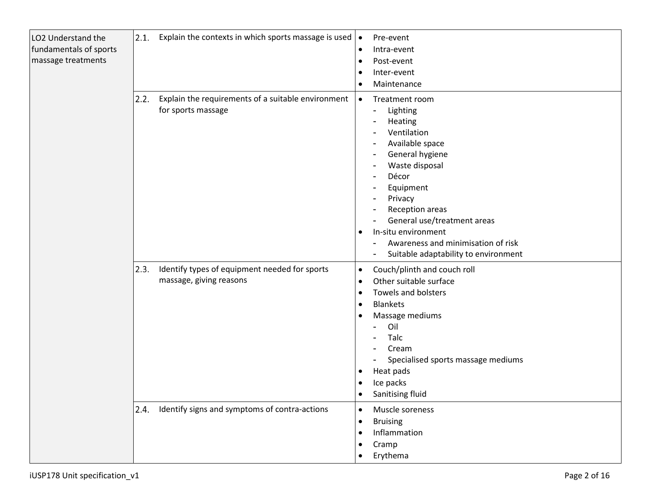| LO2 Understand the<br>fundamentals of sports<br>massage treatments |      | 2.1. Explain the contexts in which sports massage is used                | $\bullet$<br>$\bullet$<br>$\bullet$<br>$\bullet$                   | Pre-event<br>Intra-event<br>Post-event<br>Inter-event<br>Maintenance                                                                                                                                                                                                                                                                                                                                                           |
|--------------------------------------------------------------------|------|--------------------------------------------------------------------------|--------------------------------------------------------------------|--------------------------------------------------------------------------------------------------------------------------------------------------------------------------------------------------------------------------------------------------------------------------------------------------------------------------------------------------------------------------------------------------------------------------------|
|                                                                    | 2.2. | Explain the requirements of a suitable environment<br>for sports massage | $\bullet$<br>$\bullet$                                             | Treatment room<br>Lighting<br>$\qquad \qquad$<br>Heating<br>$\overline{\phantom{a}}$<br>Ventilation<br>Available space<br>General hygiene<br>$\overline{\phantom{a}}$<br>Waste disposal<br>Décor<br>Equipment<br>$\overline{\phantom{a}}$<br>Privacy<br>Reception areas<br>General use/treatment areas<br>In-situ environment<br>Awareness and minimisation of risk<br>Suitable adaptability to environment<br>$\qquad \qquad$ |
|                                                                    | 2.3. | Identify types of equipment needed for sports<br>massage, giving reasons | $\bullet$<br>$\bullet$<br>$\bullet$<br>$\bullet$<br>٠<br>$\bullet$ | Couch/plinth and couch roll<br>Other suitable surface<br>Towels and bolsters<br><b>Blankets</b><br>Massage mediums<br>Oil<br>Talc<br>Cream<br>Specialised sports massage mediums<br>Heat pads<br>Ice packs<br>Sanitising fluid                                                                                                                                                                                                 |
|                                                                    |      | 2.4. Identify signs and symptoms of contra-actions                       | $\bullet$<br>$\bullet$<br>$\bullet$                                | Muscle soreness<br><b>Bruising</b><br>Inflammation<br>Cramp<br>Erythema                                                                                                                                                                                                                                                                                                                                                        |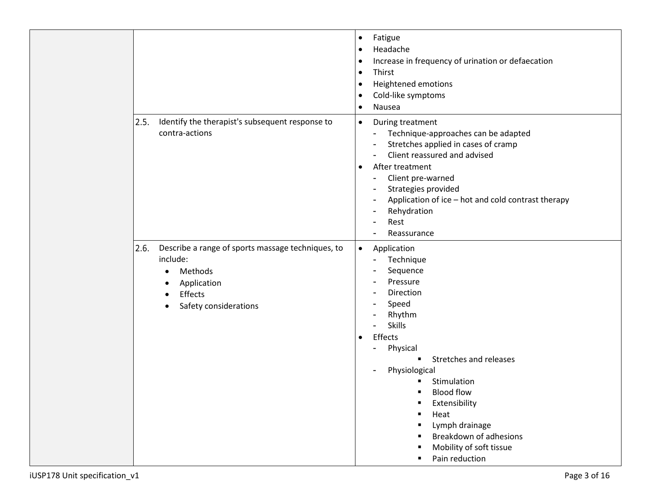|                                                                                                                                               | Fatigue<br>$\bullet$<br>Headache<br>$\bullet$<br>Increase in frequency of urination or defaecation<br>$\bullet$<br>Thirst<br>$\bullet$<br>Heightened emotions<br>٠<br>Cold-like symptoms<br>$\bullet$<br>Nausea<br>$\bullet$                                                                                                                                                                      |
|-----------------------------------------------------------------------------------------------------------------------------------------------|---------------------------------------------------------------------------------------------------------------------------------------------------------------------------------------------------------------------------------------------------------------------------------------------------------------------------------------------------------------------------------------------------|
| Identify the therapist's subsequent response to<br>2.5.<br>contra-actions                                                                     | During treatment<br>$\bullet$<br>Technique-approaches can be adapted<br>$\blacksquare$<br>Stretches applied in cases of cramp<br>Client reassured and advised<br>After treatment<br>$\bullet$<br>Client pre-warned<br>$\overline{\phantom{a}}$<br>Strategies provided<br>Application of ice - hot and cold contrast therapy<br>Rehydration<br>Rest<br>Reassurance<br>$\blacksquare$               |
| 2.6.<br>Describe a range of sports massage techniques, to<br>include:<br>Methods<br>Application<br>٠<br>Effects<br>Safety considerations<br>٠ | Application<br>$\bullet$<br>Technique<br>Sequence<br>Pressure<br>Direction<br>Speed<br>Rhythm<br><b>Skills</b><br>$\blacksquare$<br>Effects<br>$\bullet$<br>Physical<br>Stretches and releases<br>Physiological<br>$\overline{\phantom{a}}$<br>Stimulation<br><b>Blood flow</b><br>Extensibility<br>Heat<br>Lymph drainage<br>Breakdown of adhesions<br>Mobility of soft tissue<br>Pain reduction |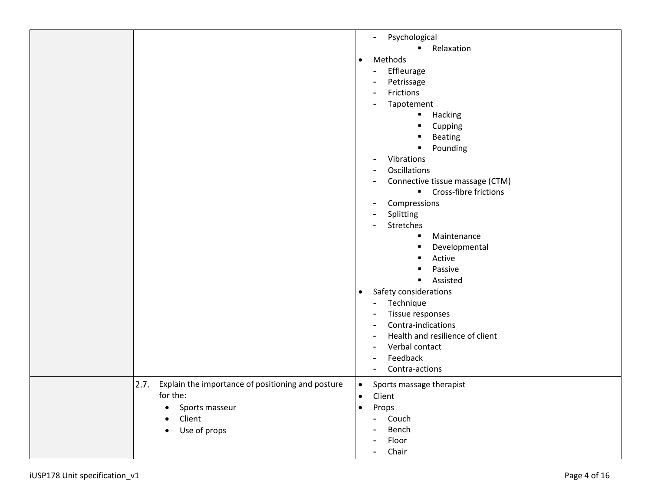|                                                           | Psychological<br>$\blacksquare$                             |
|-----------------------------------------------------------|-------------------------------------------------------------|
|                                                           | Relaxation<br>$\blacksquare$                                |
|                                                           | Methods<br>$\bullet$                                        |
|                                                           | Effleurage<br>$\qquad \qquad$                               |
|                                                           | Petrissage<br>$\blacksquare$                                |
|                                                           | Frictions                                                   |
|                                                           | $\overline{\phantom{a}}$                                    |
|                                                           | Tapotement<br>$\overline{\phantom{a}}$                      |
|                                                           | Hacking<br>٠                                                |
|                                                           | Cupping<br>$\blacksquare$                                   |
|                                                           | Beating                                                     |
|                                                           | Pounding<br>$\blacksquare$                                  |
|                                                           | Vibrations<br>$\blacksquare$                                |
|                                                           | Oscillations                                                |
|                                                           | Connective tissue massage (CTM)                             |
|                                                           | $\blacksquare$<br>Cross-fibre frictions                     |
|                                                           | Compressions<br>$\overline{\phantom{a}}$                    |
|                                                           | Splitting<br>$\overline{\phantom{a}}$                       |
|                                                           | Stretches<br>$\blacksquare$                                 |
|                                                           |                                                             |
|                                                           | Maintenance<br>$\blacksquare$                               |
|                                                           | Developmental<br>٠                                          |
|                                                           | Active<br>٠                                                 |
|                                                           | Passive<br>٠                                                |
|                                                           | Assisted<br>$\blacksquare$                                  |
|                                                           | Safety considerations<br>$\bullet$                          |
|                                                           | Technique<br>$\overline{\phantom{0}}$                       |
|                                                           | Tissue responses<br>$\overline{\phantom{a}}$                |
|                                                           | Contra-indications<br>$\blacksquare$                        |
|                                                           | Health and resilience of client<br>$\overline{\phantom{a}}$ |
|                                                           | Verbal contact                                              |
|                                                           | $\overline{\phantom{a}}$                                    |
|                                                           | Feedback<br>$\overline{\phantom{a}}$                        |
|                                                           | Contra-actions<br>$\overline{\phantom{a}}$                  |
| 2.7.<br>Explain the importance of positioning and posture | Sports massage therapist<br>$\bullet$                       |
| for the:                                                  | Client                                                      |
| Sports masseur<br>$\bullet$                               | Props<br>$\bullet$                                          |
| Client<br>$\bullet$                                       | Couch<br>$\blacksquare$                                     |
|                                                           | Bench                                                       |
| Use of props<br>$\bullet$                                 | $\overline{a}$                                              |
|                                                           | Floor<br>$\qquad \qquad$                                    |
|                                                           | Chair<br>$\blacksquare$                                     |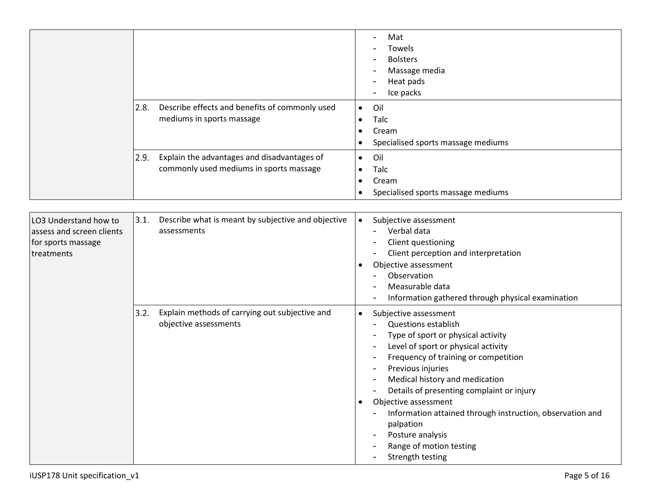|                                                                                        |                                                                                                | Mat<br>Towels<br><b>Bolsters</b><br>Massage media<br>Heat pads<br>Ice packs                                                                                                                                                                                                                                                                                                                                                                                                 |
|----------------------------------------------------------------------------------------|------------------------------------------------------------------------------------------------|-----------------------------------------------------------------------------------------------------------------------------------------------------------------------------------------------------------------------------------------------------------------------------------------------------------------------------------------------------------------------------------------------------------------------------------------------------------------------------|
|                                                                                        | Describe effects and benefits of commonly used<br>2.8.<br>mediums in sports massage            | Oil<br>$\bullet$<br>Talc<br>Cream<br>Specialised sports massage mediums                                                                                                                                                                                                                                                                                                                                                                                                     |
|                                                                                        | Explain the advantages and disadvantages of<br>2.9.<br>commonly used mediums in sports massage | Oil<br>$\bullet$<br>Talc<br>٠<br>Cream<br>Specialised sports massage mediums                                                                                                                                                                                                                                                                                                                                                                                                |
| LO3 Understand how to<br>assess and screen clients<br>for sports massage<br>treatments | 3.1.<br>Describe what is meant by subjective and objective<br>assessments                      | Subjective assessment<br>$\bullet$<br>Verbal data<br>Client questioning<br>Client perception and interpretation<br>Objective assessment<br>Observation<br>Measurable data<br>Information gathered through physical examination                                                                                                                                                                                                                                              |
|                                                                                        | Explain methods of carrying out subjective and<br>3.2.<br>objective assessments                | Subjective assessment<br>$\bullet$<br><b>Questions establish</b><br>Type of sport or physical activity<br>Level of sport or physical activity<br>Frequency of training or competition<br>Previous injuries<br>Medical history and medication<br>Details of presenting complaint or injury<br>Objective assessment<br>$\bullet$<br>Information attained through instruction, observation and<br>palpation<br>Posture analysis<br>Range of motion testing<br>Strength testing |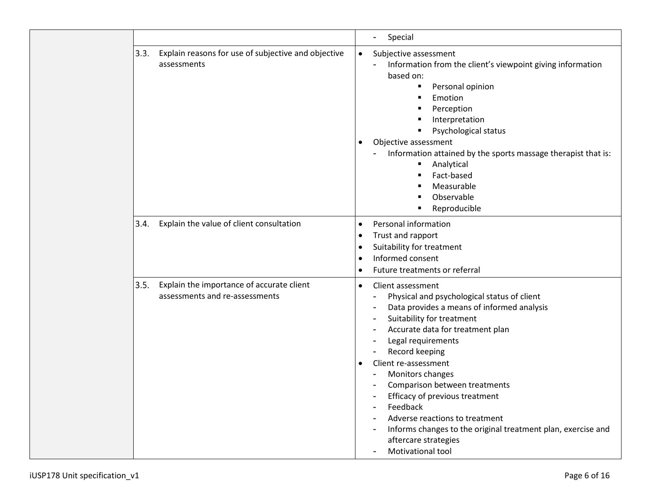|      |                                                                             | Special<br>$\blacksquare$                                                                                                                                                                                                                                                                                                                                                                                                                                                                                                                     |
|------|-----------------------------------------------------------------------------|-----------------------------------------------------------------------------------------------------------------------------------------------------------------------------------------------------------------------------------------------------------------------------------------------------------------------------------------------------------------------------------------------------------------------------------------------------------------------------------------------------------------------------------------------|
| 3.3. | Explain reasons for use of subjective and objective<br>assessments          | Subjective assessment<br>$\bullet$<br>Information from the client's viewpoint giving information<br>based on:<br>Personal opinion<br>п<br>Emotion<br>٠<br>Perception<br>٠<br>Interpretation<br>Psychological status<br>٠<br>Objective assessment<br>Information attained by the sports massage therapist that is:<br>Analytical<br>$\blacksquare$<br>Fact-based<br>٠<br>Measurable<br>$\blacksquare$<br>Observable<br>Reproducible                                                                                                            |
| 3.4. | Explain the value of client consultation                                    | Personal information<br>$\bullet$<br>Trust and rapport<br>$\bullet$<br>Suitability for treatment<br>$\bullet$<br>Informed consent<br>$\bullet$<br>Future treatments or referral<br>$\bullet$                                                                                                                                                                                                                                                                                                                                                  |
| 3.5. | Explain the importance of accurate client<br>assessments and re-assessments | Client assessment<br>$\bullet$<br>Physical and psychological status of client<br>Data provides a means of informed analysis<br>Suitability for treatment<br>Accurate data for treatment plan<br>Legal requirements<br>Record keeping<br>Client re-assessment<br>$\bullet$<br>Monitors changes<br>$\blacksquare$<br>Comparison between treatments<br>Efficacy of previous treatment<br>Feedback<br>Adverse reactions to treatment<br>Informs changes to the original treatment plan, exercise and<br>aftercare strategies<br>Motivational tool |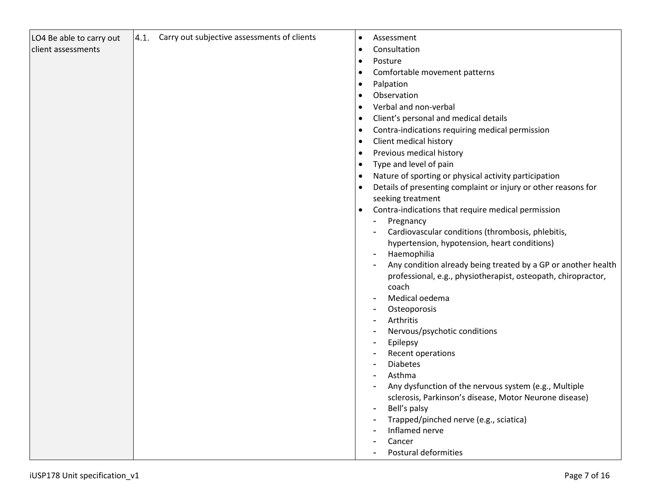| LO4 Be able to carry out | 4.1. Carry out subjective assessments of clients | $\bullet$ | Assessment                                                     |
|--------------------------|--------------------------------------------------|-----------|----------------------------------------------------------------|
| client assessments       |                                                  | $\bullet$ | Consultation                                                   |
|                          |                                                  | $\bullet$ | Posture                                                        |
|                          |                                                  |           | Comfortable movement patterns                                  |
|                          |                                                  |           | Palpation                                                      |
|                          |                                                  |           | Observation                                                    |
|                          |                                                  |           | Verbal and non-verbal                                          |
|                          |                                                  |           | Client's personal and medical details                          |
|                          |                                                  |           |                                                                |
|                          |                                                  |           | Contra-indications requiring medical permission                |
|                          |                                                  |           | Client medical history                                         |
|                          |                                                  |           | Previous medical history                                       |
|                          |                                                  |           | Type and level of pain                                         |
|                          |                                                  |           | Nature of sporting or physical activity participation          |
|                          |                                                  |           | Details of presenting complaint or injury or other reasons for |
|                          |                                                  |           | seeking treatment                                              |
|                          |                                                  | $\bullet$ | Contra-indications that require medical permission             |
|                          |                                                  |           | Pregnancy                                                      |
|                          |                                                  |           | Cardiovascular conditions (thrombosis, phlebitis,              |
|                          |                                                  |           | hypertension, hypotension, heart conditions)                   |
|                          |                                                  |           | Haemophilia                                                    |
|                          |                                                  |           | Any condition already being treated by a GP or another health  |
|                          |                                                  |           | professional, e.g., physiotherapist, osteopath, chiropractor,  |
|                          |                                                  |           | coach                                                          |
|                          |                                                  |           | Medical oedema                                                 |
|                          |                                                  |           | Osteoporosis                                                   |
|                          |                                                  |           | Arthritis                                                      |
|                          |                                                  |           | Nervous/psychotic conditions                                   |
|                          |                                                  |           | Epilepsy                                                       |
|                          |                                                  |           | Recent operations                                              |
|                          |                                                  |           | <b>Diabetes</b>                                                |
|                          |                                                  |           | Asthma                                                         |
|                          |                                                  |           | Any dysfunction of the nervous system (e.g., Multiple          |
|                          |                                                  |           | sclerosis, Parkinson's disease, Motor Neurone disease)         |
|                          |                                                  |           | Bell's palsy                                                   |
|                          |                                                  |           | Trapped/pinched nerve (e.g., sciatica)                         |
|                          |                                                  |           | Inflamed nerve                                                 |
|                          |                                                  |           | Cancer                                                         |
|                          |                                                  |           | Postural deformities                                           |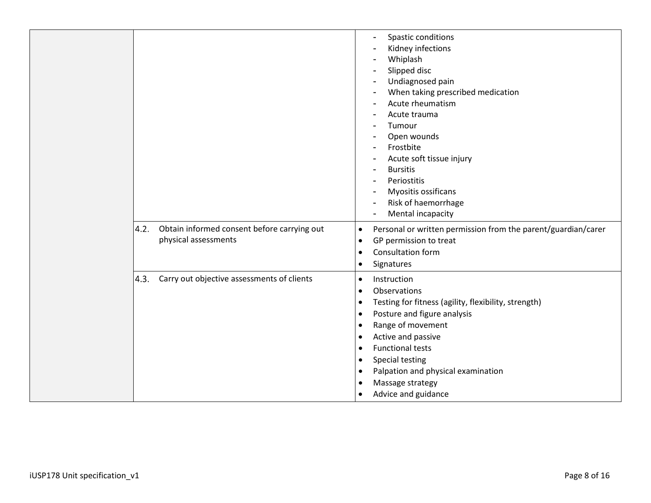|                                                                             | Spastic conditions<br>$\overline{a}$<br>Kidney infections<br>Whiplash<br>Slipped disc<br>Undiagnosed pain<br>When taking prescribed medication<br>Acute rheumatism<br>Acute trauma<br>Tumour<br>Open wounds<br>Frostbite<br>Acute soft tissue injury<br>$\overline{\phantom{a}}$<br><b>Bursitis</b><br>$\overline{\phantom{0}}$<br>Periostitis<br>$\overline{\phantom{a}}$<br>Myositis ossificans<br>Risk of haemorrhage<br>Mental incapacity<br>$\blacksquare$ |
|-----------------------------------------------------------------------------|-----------------------------------------------------------------------------------------------------------------------------------------------------------------------------------------------------------------------------------------------------------------------------------------------------------------------------------------------------------------------------------------------------------------------------------------------------------------|
| Obtain informed consent before carrying out<br>4.2.<br>physical assessments | Personal or written permission from the parent/guardian/carer<br>$\bullet$<br>GP permission to treat<br>$\bullet$<br>Consultation form<br>$\bullet$<br>Signatures<br>$\bullet$                                                                                                                                                                                                                                                                                  |
| Carry out objective assessments of clients<br>4.3.                          | Instruction<br>$\bullet$<br>Observations<br>$\bullet$<br>Testing for fitness (agility, flexibility, strength)<br>$\bullet$<br>Posture and figure analysis<br>$\bullet$<br>Range of movement<br>$\bullet$<br>Active and passive<br>$\bullet$<br><b>Functional tests</b><br>$\bullet$<br>Special testing<br>$\bullet$<br>Palpation and physical examination<br>$\bullet$<br>Massage strategy<br>$\bullet$<br>Advice and guidance<br>$\bullet$                     |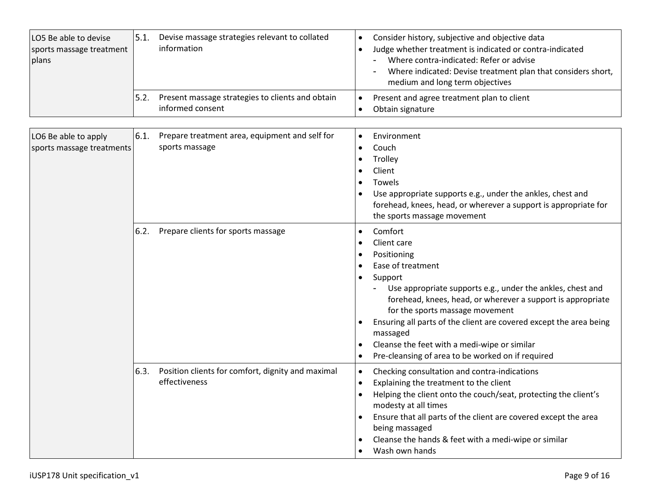| LO5 Be able to devise<br>sports massage treatment<br>plans | 5.1. | Devise massage strategies relevant to collated<br>information           | $\bullet$<br>$\bullet$              | Consider history, subjective and objective data<br>Judge whether treatment is indicated or contra-indicated<br>Where contra-indicated: Refer or advise<br>Where indicated: Devise treatment plan that considers short,<br>medium and long term objectives                                                                                                                                                                    |
|------------------------------------------------------------|------|-------------------------------------------------------------------------|-------------------------------------|------------------------------------------------------------------------------------------------------------------------------------------------------------------------------------------------------------------------------------------------------------------------------------------------------------------------------------------------------------------------------------------------------------------------------|
|                                                            | 5.2. | Present massage strategies to clients and obtain<br>informed consent    | $\bullet$                           | Present and agree treatment plan to client<br>Obtain signature                                                                                                                                                                                                                                                                                                                                                               |
| LO6 Be able to apply<br>sports massage treatments          | 6.1. | Prepare treatment area, equipment and self for<br>sports massage        | $\bullet$                           | Environment<br>Couch<br>Trolley<br>Client<br>Towels<br>Use appropriate supports e.g., under the ankles, chest and<br>forehead, knees, head, or wherever a support is appropriate for<br>the sports massage movement                                                                                                                                                                                                          |
|                                                            | 6.2. | Prepare clients for sports massage                                      | $\bullet$<br>$\bullet$<br>$\bullet$ | Comfort<br>Client care<br>Positioning<br>Ease of treatment<br>Support<br>Use appropriate supports e.g., under the ankles, chest and<br>forehead, knees, head, or wherever a support is appropriate<br>for the sports massage movement<br>Ensuring all parts of the client are covered except the area being<br>massaged<br>Cleanse the feet with a medi-wipe or similar<br>Pre-cleansing of area to be worked on if required |
|                                                            |      | 6.3. Position clients for comfort, dignity and maximal<br>effectiveness | $\bullet$<br>$\bullet$              | Checking consultation and contra-indications<br>Explaining the treatment to the client<br>Helping the client onto the couch/seat, protecting the client's<br>modesty at all times<br>Ensure that all parts of the client are covered except the area<br>being massaged<br>Cleanse the hands & feet with a medi-wipe or similar<br>Wash own hands                                                                             |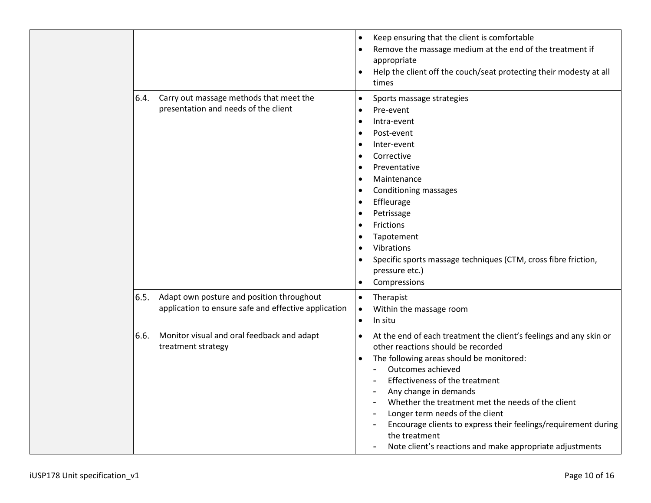|      |                                                                                                   | Keep ensuring that the client is comfortable<br>$\bullet$<br>Remove the massage medium at the end of the treatment if<br>$\bullet$<br>appropriate<br>Help the client off the couch/seat protecting their modesty at all<br>$\bullet$<br>times                                                                                                                                                                                                                                                                                                     |
|------|---------------------------------------------------------------------------------------------------|---------------------------------------------------------------------------------------------------------------------------------------------------------------------------------------------------------------------------------------------------------------------------------------------------------------------------------------------------------------------------------------------------------------------------------------------------------------------------------------------------------------------------------------------------|
| 6.4. | Carry out massage methods that meet the<br>presentation and needs of the client                   | Sports massage strategies<br>$\bullet$<br>Pre-event<br>$\bullet$<br>Intra-event<br>$\bullet$<br>Post-event<br>$\bullet$<br>Inter-event<br>$\bullet$<br>Corrective<br>$\bullet$<br>Preventative<br>$\bullet$<br>Maintenance<br>$\bullet$<br>Conditioning massages<br>$\bullet$<br>Effleurage<br>$\bullet$<br>Petrissage<br>$\bullet$<br>Frictions<br>$\bullet$<br>Tapotement<br>$\bullet$<br>Vibrations<br>$\bullet$<br>Specific sports massage techniques (CTM, cross fibre friction,<br>$\bullet$<br>pressure etc.)<br>Compressions<br>$\bullet$ |
| 6.5. | Adapt own posture and position throughout<br>application to ensure safe and effective application | Therapist<br>$\bullet$<br>Within the massage room<br>$\bullet$<br>In situ<br>$\bullet$                                                                                                                                                                                                                                                                                                                                                                                                                                                            |
| 6.6. | Monitor visual and oral feedback and adapt<br>treatment strategy                                  | At the end of each treatment the client's feelings and any skin or<br>$\bullet$<br>other reactions should be recorded<br>The following areas should be monitored:<br>$\bullet$<br>Outcomes achieved<br>$\blacksquare$<br>Effectiveness of the treatment<br>Any change in demands<br>$\blacksquare$<br>Whether the treatment met the needs of the client<br>Longer term needs of the client<br>Encourage clients to express their feelings/requirement during<br>the treatment<br>Note client's reactions and make appropriate adjustments         |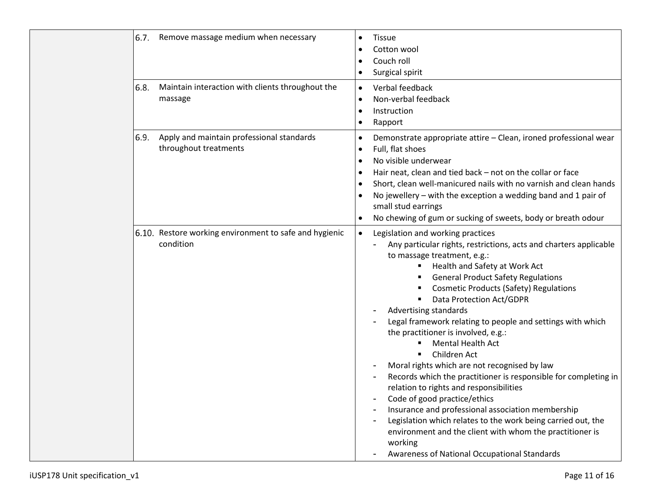| 6.7. | Remove massage medium when necessary                                | <b>Tissue</b><br>$\bullet$<br>Cotton wool<br>$\bullet$<br>Couch roll<br>$\bullet$<br>Surgical spirit<br>$\bullet$                                                                                                                                                                                                                                                                                                                                                                                                                                                                                                                                                                                                                                                                                                                                                                                                                                                                                                                           |
|------|---------------------------------------------------------------------|---------------------------------------------------------------------------------------------------------------------------------------------------------------------------------------------------------------------------------------------------------------------------------------------------------------------------------------------------------------------------------------------------------------------------------------------------------------------------------------------------------------------------------------------------------------------------------------------------------------------------------------------------------------------------------------------------------------------------------------------------------------------------------------------------------------------------------------------------------------------------------------------------------------------------------------------------------------------------------------------------------------------------------------------|
| 6.8. | Maintain interaction with clients throughout the<br>massage         | Verbal feedback<br>$\bullet$<br>Non-verbal feedback<br>$\bullet$<br>Instruction<br>$\bullet$<br>Rapport<br>$\bullet$                                                                                                                                                                                                                                                                                                                                                                                                                                                                                                                                                                                                                                                                                                                                                                                                                                                                                                                        |
| 6.9. | Apply and maintain professional standards<br>throughout treatments  | Demonstrate appropriate attire - Clean, ironed professional wear<br>$\bullet$<br>Full, flat shoes<br>$\bullet$<br>No visible underwear<br>$\bullet$<br>Hair neat, clean and tied back - not on the collar or face<br>$\bullet$<br>Short, clean well-manicured nails with no varnish and clean hands<br>$\bullet$<br>No jewellery - with the exception a wedding band and 1 pair of<br>small stud earrings<br>No chewing of gum or sucking of sweets, body or breath odour<br>$\bullet$                                                                                                                                                                                                                                                                                                                                                                                                                                                                                                                                                      |
|      | 6.10. Restore working environment to safe and hygienic<br>condition | Legislation and working practices<br>$\bullet$<br>Any particular rights, restrictions, acts and charters applicable<br>to massage treatment, e.g.:<br>Health and Safety at Work Act<br>$\blacksquare$<br><b>General Product Safety Regulations</b><br><b>Cosmetic Products (Safety) Regulations</b><br>Data Protection Act/GDPR<br>Advertising standards<br>Legal framework relating to people and settings with which<br>the practitioner is involved, e.g.:<br>Mental Health Act<br>٠<br>Children Act<br>$\blacksquare$<br>Moral rights which are not recognised by law<br>Records which the practitioner is responsible for completing in<br>$\overline{a}$<br>relation to rights and responsibilities<br>Code of good practice/ethics<br>$\blacksquare$<br>Insurance and professional association membership<br>$\blacksquare$<br>Legislation which relates to the work being carried out, the<br>$\overline{a}$<br>environment and the client with whom the practitioner is<br>working<br>Awareness of National Occupational Standards |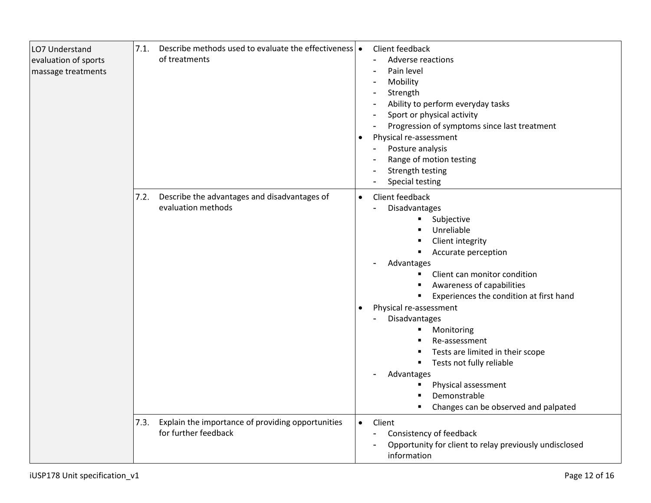| LO7 Understand<br>evaluation of sports<br>massage treatments | Describe methods used to evaluate the effectiveness •<br>7.1.<br>of treatments    | Client feedback<br>Adverse reactions<br>Pain level<br>Mobility<br>Strength<br>Ability to perform everyday tasks<br>Sport or physical activity<br>Progression of symptoms since last treatment<br>Physical re-assessment<br>Posture analysis<br>Range of motion testing<br>Strength testing<br><b>Special testing</b>                                                                                                                                                                                               |
|--------------------------------------------------------------|-----------------------------------------------------------------------------------|--------------------------------------------------------------------------------------------------------------------------------------------------------------------------------------------------------------------------------------------------------------------------------------------------------------------------------------------------------------------------------------------------------------------------------------------------------------------------------------------------------------------|
|                                                              | Describe the advantages and disadvantages of<br>7.2.<br>evaluation methods        | Client feedback<br>$\bullet$<br>Disadvantages<br>Subjective<br>Unreliable<br>Client integrity<br>Accurate perception<br>$\blacksquare$<br>Advantages<br>Client can monitor condition<br>٠<br>Awareness of capabilities<br>Experiences the condition at first hand<br>٠<br>Physical re-assessment<br>Disadvantages<br>Monitoring<br>п<br>Re-assessment<br>Tests are limited in their scope<br>Tests not fully reliable<br>Advantages<br>Physical assessment<br>Demonstrable<br>Changes can be observed and palpated |
|                                                              | 7.3.<br>Explain the importance of providing opportunities<br>for further feedback | Client<br>$\bullet$<br>Consistency of feedback<br>Opportunity for client to relay previously undisclosed<br>information                                                                                                                                                                                                                                                                                                                                                                                            |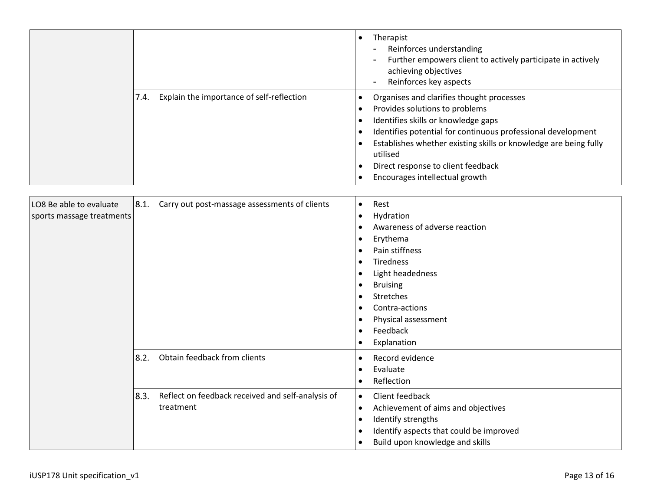|                                                   | Therapist<br>Reinforces understanding<br>Further empowers client to actively participate in actively<br>achieving objectives<br>Reinforces key aspects                                                                                                                                                                                     |
|---------------------------------------------------|--------------------------------------------------------------------------------------------------------------------------------------------------------------------------------------------------------------------------------------------------------------------------------------------------------------------------------------------|
| Explain the importance of self-reflection<br>7.4. | Organises and clarifies thought processes<br>Provides solutions to problems<br>Identifies skills or knowledge gaps<br>Identifies potential for continuous professional development<br>Establishes whether existing skills or knowledge are being fully<br>utilised<br>Direct response to client feedback<br>Encourages intellectual growth |

| LO8 Be able to evaluate<br>sports massage treatments | 8.1. | Carry out post-massage assessments of clients                  | $\bullet$              | Rest<br>Hydration<br>Awareness of adverse reaction<br>Erythema<br>Pain stiffness<br>Tiredness<br>Light headedness<br><b>Bruising</b><br>Stretches<br>Contra-actions<br>Physical assessment<br>Feedback<br>Explanation |
|------------------------------------------------------|------|----------------------------------------------------------------|------------------------|-----------------------------------------------------------------------------------------------------------------------------------------------------------------------------------------------------------------------|
|                                                      | 8.2. | Obtain feedback from clients                                   |                        | Record evidence<br>Evaluate<br>Reflection                                                                                                                                                                             |
|                                                      | 8.3. | Reflect on feedback received and self-analysis of<br>treatment | $\bullet$<br>$\bullet$ | Client feedback<br>Achievement of aims and objectives<br>Identify strengths<br>Identify aspects that could be improved<br>Build upon knowledge and skills                                                             |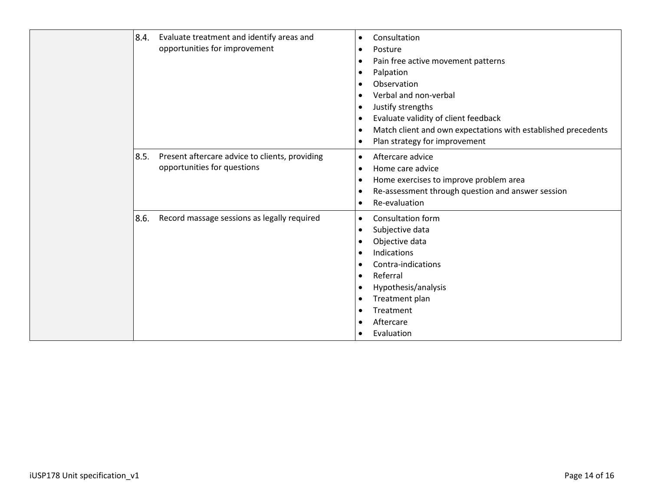| 8.4.<br>Evaluate treatment and identify areas and<br>opportunities for improvement    | Consultation<br>$\bullet$<br>Posture<br>$\bullet$<br>Pain free active movement patterns<br>$\bullet$<br>Palpation<br>$\bullet$<br>Observation<br>Verbal and non-verbal<br>Justify strengths<br>$\bullet$<br>Evaluate validity of client feedback<br>$\bullet$<br>Match client and own expectations with established precedents<br>$\bullet$<br>Plan strategy for improvement<br>$\bullet$ |
|---------------------------------------------------------------------------------------|-------------------------------------------------------------------------------------------------------------------------------------------------------------------------------------------------------------------------------------------------------------------------------------------------------------------------------------------------------------------------------------------|
| 8.5.<br>Present aftercare advice to clients, providing<br>opportunities for questions | Aftercare advice<br>$\bullet$<br>Home care advice<br>$\bullet$<br>Home exercises to improve problem area<br>$\bullet$<br>Re-assessment through question and answer session<br>$\bullet$<br>Re-evaluation<br>$\bullet$                                                                                                                                                                     |
| 8.6.<br>Record massage sessions as legally required                                   | Consultation form<br>$\bullet$<br>Subjective data<br>$\bullet$<br>Objective data<br>Indications<br>Contra-indications<br>Referral<br>$\bullet$<br>Hypothesis/analysis<br>$\bullet$<br>Treatment plan<br>٠<br>Treatment<br>Aftercare<br>Evaluation                                                                                                                                         |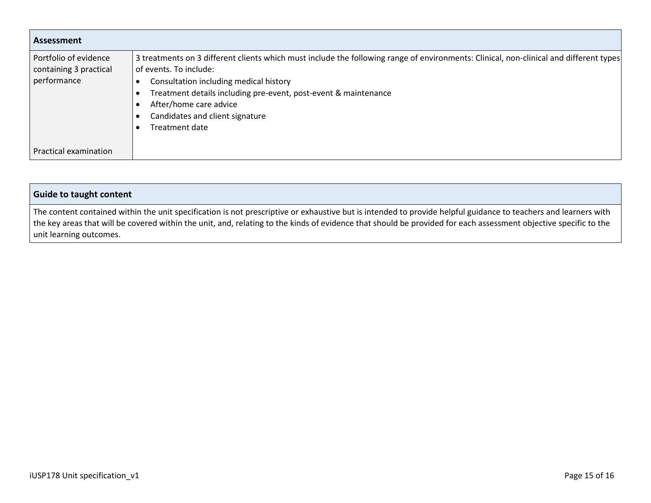| Assessment                                                     |                                                                                                                                                                                                                                                                                                                                                              |  |  |
|----------------------------------------------------------------|--------------------------------------------------------------------------------------------------------------------------------------------------------------------------------------------------------------------------------------------------------------------------------------------------------------------------------------------------------------|--|--|
| Portfolio of evidence<br>containing 3 practical<br>performance | 3 treatments on 3 different clients which must include the following range of environments: Clinical, non-clinical and different types<br>of events. To include:<br>Consultation including medical history<br>Treatment details including pre-event, post-event & maintenance<br>After/home care advice<br>Candidates and client signature<br>Treatment date |  |  |
| Practical examination                                          |                                                                                                                                                                                                                                                                                                                                                              |  |  |

| <b>Guide to taught content</b>                                                                                                                                   |
|------------------------------------------------------------------------------------------------------------------------------------------------------------------|
| The content contained within the unit specification is not prescriptive or exhaustive but is intended to provide helpful guidance to teachers and learners with  |
| the key areas that will be covered within the unit, and, relating to the kinds of evidence that should be provided for each assessment objective specific to the |
| unit learning outcomes.                                                                                                                                          |